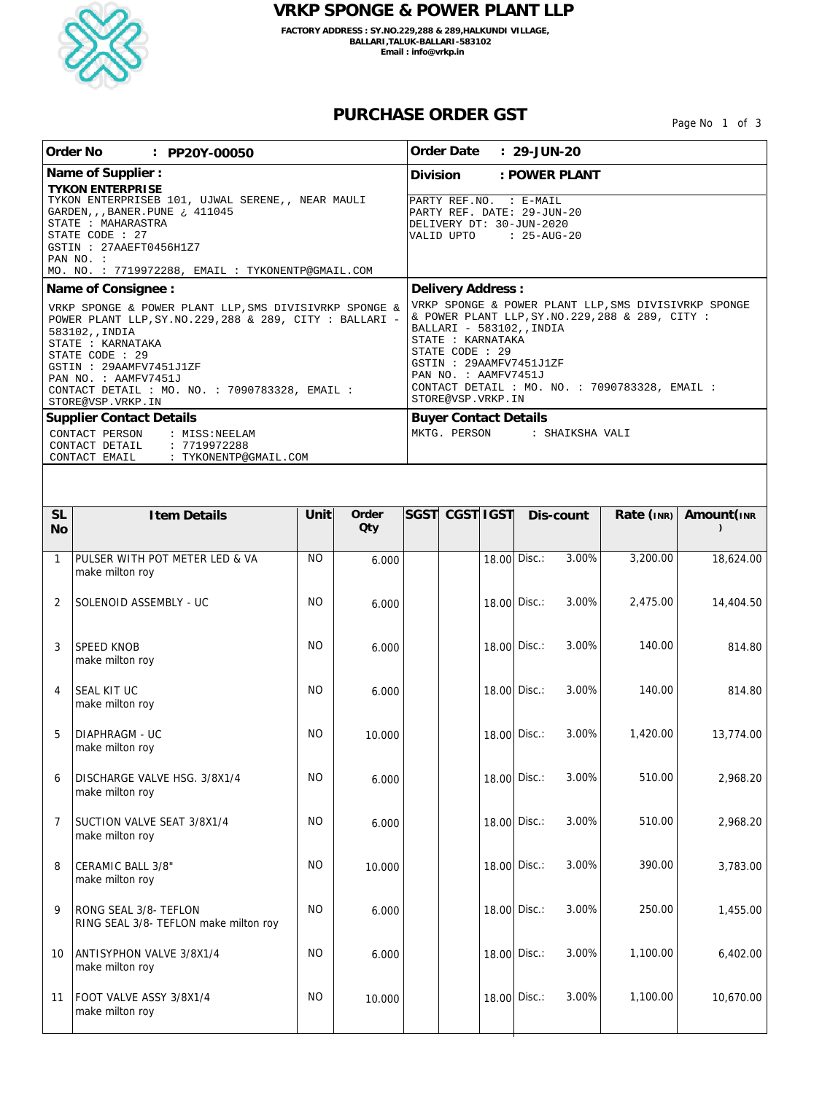

## **VRKP SPONGE & POWER PLANT LLP**

**FACTORY ADDRESS : SY.NO.229,288 & 289,HALKUNDI VILLAGE, BALLARI,TALUK-BALLARI-583102 Email : info@vrkp.in**

## **PURCHASE ORDER GST**

Page No 1 of 3

| Order No<br>: PP20Y-00050                                                                                                                                                                                                                                                                                |                                                                    |           | Order Date<br>$: 29 - JUN - 20$ |                                                                                                                                                                                                                                                                                                       |          |  |              |           |                   |                          |
|----------------------------------------------------------------------------------------------------------------------------------------------------------------------------------------------------------------------------------------------------------------------------------------------------------|--------------------------------------------------------------------|-----------|---------------------------------|-------------------------------------------------------------------------------------------------------------------------------------------------------------------------------------------------------------------------------------------------------------------------------------------------------|----------|--|--------------|-----------|-------------------|--------------------------|
| Name of Supplier :                                                                                                                                                                                                                                                                                       |                                                                    |           | Division<br>: POWER PLANT       |                                                                                                                                                                                                                                                                                                       |          |  |              |           |                   |                          |
| <b>TYKON ENTERPRISE</b><br>TYKON ENTERPRISEB 101, UJWAL SERENE,, NEAR MAULI<br>GARDEN, , , BANER. PUNE : 411045<br>STATE : MAHARASTRA<br>STATE CODE : 27<br>GSTIN : 27AAEFT0456H1Z7<br>PAN NO. :                                                                                                         |                                                                    |           |                                 | PARTY REF.NO. : E-MAIL<br>PARTY REF. DATE: 29-JUN-20<br>DELIVERY DT: 30-JUN-2020<br>: 25-AUG-20<br>VALID UPTO                                                                                                                                                                                         |          |  |              |           |                   |                          |
| MO. NO. : 7719972288, EMAIL : TYKONENTP@GMAIL.COM<br>Name of Consignee :                                                                                                                                                                                                                                 |                                                                    |           |                                 | Delivery Address:                                                                                                                                                                                                                                                                                     |          |  |              |           |                   |                          |
| VRKP SPONGE & POWER PLANT LLP, SMS DIVISIVRKP SPONGE &<br>POWER PLANT LLP, SY. NO. 229, 288 & 289, CITY : BALLARI -<br>583102, , INDIA<br>STATE : KARNATAKA<br>STATE CODE : 29<br>GSTIN : 29AAMFV7451J1ZF<br>PAN NO. : AAMFV7451J<br>CONTACT DETAIL : MO. NO. : 7090783328, EMAIL :<br>STORE@VSP.VRKP.IN |                                                                    |           |                                 | VRKP SPONGE & POWER PLANT LLP, SMS DIVISIVRKP SPONGE<br>& POWER PLANT LLP, SY. NO. 229, 288 & 289, CITY :<br>BALLARI - 583102, , INDIA<br>STATE : KARNATAKA<br>STATE CODE : 29<br>GSTIN : 29AAMFV7451J1ZF<br>PAN NO. : AAMFV7451J<br>CONTACT DETAIL: MO. NO.: 7090783328, EMAIL:<br>STORE@VSP.VRKP.IN |          |  |              |           |                   |                          |
|                                                                                                                                                                                                                                                                                                          | <b>Supplier Contact Details</b><br>CONTACT PERSON<br>: MISS:NEELAM |           |                                 | <b>Buyer Contact Details</b><br>MKTG. PERSON<br>: SHAIKSHA VALI                                                                                                                                                                                                                                       |          |  |              |           |                   |                          |
|                                                                                                                                                                                                                                                                                                          | CONTACT DETAIL<br>: 7719972288                                     |           |                                 |                                                                                                                                                                                                                                                                                                       |          |  |              |           |                   |                          |
|                                                                                                                                                                                                                                                                                                          | CONTACT EMAIL<br>: TYKONENTP@GMAIL.COM                             |           |                                 |                                                                                                                                                                                                                                                                                                       |          |  |              |           |                   |                          |
|                                                                                                                                                                                                                                                                                                          |                                                                    |           |                                 |                                                                                                                                                                                                                                                                                                       |          |  |              |           |                   |                          |
| <b>SL</b><br><b>No</b>                                                                                                                                                                                                                                                                                   | I tem Details                                                      | Unit      | Order<br>Qty                    | <b>SGST</b>                                                                                                                                                                                                                                                                                           | CGSTIGST |  |              | Dis-count | Rate $($ INR) $ $ | Amount (INR<br>$\lambda$ |
| 1                                                                                                                                                                                                                                                                                                        | PULSER WITH POT METER LED & VA<br>make milton roy                  | <b>NO</b> | 6.000                           |                                                                                                                                                                                                                                                                                                       |          |  | 18.00 Disc.: | 3.00%     | 3,200.00          | 18,624.00                |
| $\overline{2}$                                                                                                                                                                                                                                                                                           | SOLENOID ASSEMBLY - UC                                             | <b>NO</b> | 6.000                           |                                                                                                                                                                                                                                                                                                       |          |  | 18.00 Disc.: | 3.00%     | 2,475.00          | 14,404.50                |
| 3                                                                                                                                                                                                                                                                                                        | SPEED KNOB<br>make milton roy                                      | <b>NO</b> | 6.000                           |                                                                                                                                                                                                                                                                                                       |          |  | 18.00 Disc.: | 3.00%     | 140.00            | 814.80                   |
| 4                                                                                                                                                                                                                                                                                                        | SEAL KIT UC<br>make milton roy                                     | <b>NO</b> | 6.000                           |                                                                                                                                                                                                                                                                                                       |          |  | 18.00 Disc.: | 3.00%     | 140.00            | 814.80                   |
| 5                                                                                                                                                                                                                                                                                                        | DIAPHRAGM - UC<br>make milton roy                                  | <b>NO</b> | 10.000                          |                                                                                                                                                                                                                                                                                                       |          |  | 18.00 Disc.: | 3.00%     | 1,420.00          | 13,774.00                |
| 6                                                                                                                                                                                                                                                                                                        | DISCHARGE VALVE HSG. 3/8X1/4<br>make milton roy                    | <b>NO</b> | 6.000                           |                                                                                                                                                                                                                                                                                                       |          |  | 18.00 Disc.: | 3.00%     | 510.00            | 2,968.20                 |
| $\overline{7}$                                                                                                                                                                                                                                                                                           | SUCTION VALVE SEAT 3/8X1/4<br>make milton roy                      | <b>NO</b> | 6.000                           |                                                                                                                                                                                                                                                                                                       |          |  | 18.00 Disc.: | 3.00%     | 510.00            | 2,968.20                 |
| 8                                                                                                                                                                                                                                                                                                        | CERAMIC BALL 3/8"<br>make milton roy                               | <b>NO</b> | 10.000                          |                                                                                                                                                                                                                                                                                                       |          |  | 18.00 Disc.: | 3.00%     | 390.00            | 3,783.00                 |
| 9                                                                                                                                                                                                                                                                                                        | RONG SEAL 3/8- TEFLON<br>RING SEAL 3/8- TEFLON make milton roy     | <b>NO</b> | 6.000                           |                                                                                                                                                                                                                                                                                                       |          |  | 18.00 Disc.: | 3.00%     | 250.00            | 1,455.00                 |
| 10                                                                                                                                                                                                                                                                                                       | ANTISYPHON VALVE 3/8X1/4<br>make milton roy                        | <b>NO</b> | 6.000                           |                                                                                                                                                                                                                                                                                                       |          |  | 18.00 Disc.: | 3.00%     | 1,100.00          | 6,402.00                 |
| 11                                                                                                                                                                                                                                                                                                       | FOOT VALVE ASSY 3/8X1/4<br>make milton roy                         | <b>NO</b> | 10.000                          |                                                                                                                                                                                                                                                                                                       |          |  | 18.00 Disc.: | 3.00%     | 1,100.00          | 10,670.00                |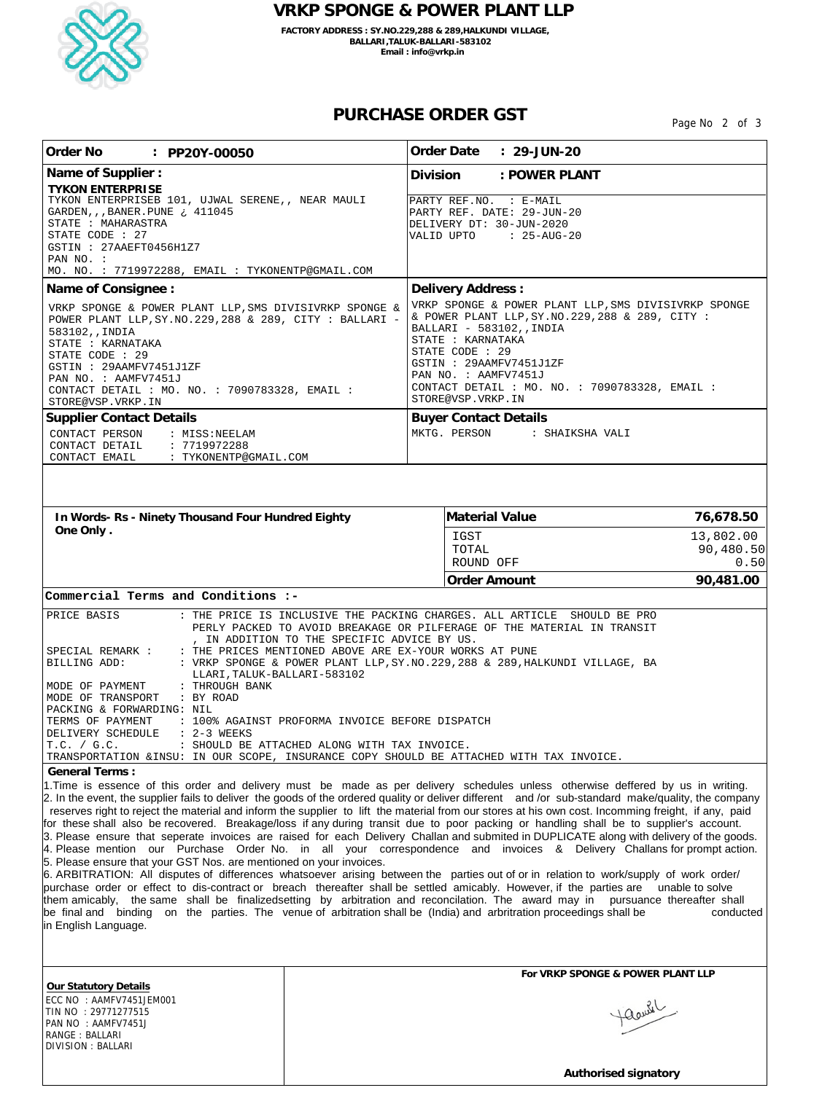

## **VRKP SPONGE & POWER PLANT LLP**

**FACTORY ADDRESS : SY.NO.229,288 & 289,HALKUNDI VILLAGE, BALLARI,TALUK-BALLARI-583102 Email : info@vrkp.in**

## **PURCHASE ORDER GST**

Page No 2 of 3

| Order No<br>: PP20Y-00050                                                                                                                                                                                                                                                                                                                                                                                                                                                                                                                                                                                                                                                                                                                                                                                                                                                                                                                                                                                                                                                                                                                                                                                                                                                                                                                                                                                                                                                                                                                                                                                                                                                                                                                                                                                                                                                                                                                                                                                                                                                                                                                                                                                                                                                                                                                                                           |  | Order Date : 29-JUN-20                                                                                                                                                                                                                                                                                |                   |  |  |  |  |
|-------------------------------------------------------------------------------------------------------------------------------------------------------------------------------------------------------------------------------------------------------------------------------------------------------------------------------------------------------------------------------------------------------------------------------------------------------------------------------------------------------------------------------------------------------------------------------------------------------------------------------------------------------------------------------------------------------------------------------------------------------------------------------------------------------------------------------------------------------------------------------------------------------------------------------------------------------------------------------------------------------------------------------------------------------------------------------------------------------------------------------------------------------------------------------------------------------------------------------------------------------------------------------------------------------------------------------------------------------------------------------------------------------------------------------------------------------------------------------------------------------------------------------------------------------------------------------------------------------------------------------------------------------------------------------------------------------------------------------------------------------------------------------------------------------------------------------------------------------------------------------------------------------------------------------------------------------------------------------------------------------------------------------------------------------------------------------------------------------------------------------------------------------------------------------------------------------------------------------------------------------------------------------------------------------------------------------------------------------------------------------------|--|-------------------------------------------------------------------------------------------------------------------------------------------------------------------------------------------------------------------------------------------------------------------------------------------------------|-------------------|--|--|--|--|
| Name of Supplier :                                                                                                                                                                                                                                                                                                                                                                                                                                                                                                                                                                                                                                                                                                                                                                                                                                                                                                                                                                                                                                                                                                                                                                                                                                                                                                                                                                                                                                                                                                                                                                                                                                                                                                                                                                                                                                                                                                                                                                                                                                                                                                                                                                                                                                                                                                                                                                  |  | <b>Division</b><br>: POWER PLANT                                                                                                                                                                                                                                                                      |                   |  |  |  |  |
| <b>TYKON ENTERPRISE</b><br>TYKON ENTERPRISEB 101, UJWAL SERENE,, NEAR MAULI<br>GARDEN, , , BANER. PUNE : 411045<br>STATE : MAHARASTRA<br>STATE CODE : 27<br>GSTIN : 27AAEFT0456H1Z7<br>PAN NO. :<br>MO. NO. : 7719972288, EMAIL : TYKONENTP@GMAIL.COM                                                                                                                                                                                                                                                                                                                                                                                                                                                                                                                                                                                                                                                                                                                                                                                                                                                                                                                                                                                                                                                                                                                                                                                                                                                                                                                                                                                                                                                                                                                                                                                                                                                                                                                                                                                                                                                                                                                                                                                                                                                                                                                               |  | PARTY REF.NO. : E-MAIL<br>PARTY REF. DATE: 29-JUN-20<br>DELIVERY DT: 30-JUN-2020<br>VALID UPTO : 25-AUG-20                                                                                                                                                                                            |                   |  |  |  |  |
| Name of Consignee :                                                                                                                                                                                                                                                                                                                                                                                                                                                                                                                                                                                                                                                                                                                                                                                                                                                                                                                                                                                                                                                                                                                                                                                                                                                                                                                                                                                                                                                                                                                                                                                                                                                                                                                                                                                                                                                                                                                                                                                                                                                                                                                                                                                                                                                                                                                                                                 |  | Delivery Address:                                                                                                                                                                                                                                                                                     |                   |  |  |  |  |
| VRKP SPONGE & POWER PLANT LLP, SMS DIVISIVRKP SPONGE &<br>POWER PLANT LLP, SY. NO. 229, 288 & 289, CITY : BALLARI -<br>583102, , INDIA<br>STATE : KARNATAKA<br>STATE CODE : 29<br>GSTIN : 29AAMFV7451J1ZF<br>PAN NO. : AAMFV7451J<br>CONTACT DETAIL : MO. NO. : 7090783328, EMAIL :<br>STORE@VSP.VRKP.IN                                                                                                                                                                                                                                                                                                                                                                                                                                                                                                                                                                                                                                                                                                                                                                                                                                                                                                                                                                                                                                                                                                                                                                                                                                                                                                                                                                                                                                                                                                                                                                                                                                                                                                                                                                                                                                                                                                                                                                                                                                                                            |  | VRKP SPONGE & POWER PLANT LLP, SMS DIVISIVRKP SPONGE<br>& POWER PLANT LLP, SY. NO. 229, 288 & 289, CITY :<br>BALLARI - 583102, , INDIA<br>STATE : KARNATAKA<br>STATE CODE : 29<br>GSTIN : 29AAMFV7451J1ZF<br>PAN NO. : AAMFV7451J<br>CONTACT DETAIL: MO. NO.: 7090783328, EMAIL:<br>STORE@VSP.VRKP.IN |                   |  |  |  |  |
| <b>Supplier Contact Details</b><br>CONTACT PERSON<br>: MISS:NEELAM                                                                                                                                                                                                                                                                                                                                                                                                                                                                                                                                                                                                                                                                                                                                                                                                                                                                                                                                                                                                                                                                                                                                                                                                                                                                                                                                                                                                                                                                                                                                                                                                                                                                                                                                                                                                                                                                                                                                                                                                                                                                                                                                                                                                                                                                                                                  |  | <b>Buyer Contact Details</b><br>MKTG. PERSON<br>: SHAIKSHA VALI                                                                                                                                                                                                                                       |                   |  |  |  |  |
| : 7719972288<br>CONTACT DETAIL<br>CONTACT EMAIL : TYKONENTP@GMAIL.COM                                                                                                                                                                                                                                                                                                                                                                                                                                                                                                                                                                                                                                                                                                                                                                                                                                                                                                                                                                                                                                                                                                                                                                                                                                                                                                                                                                                                                                                                                                                                                                                                                                                                                                                                                                                                                                                                                                                                                                                                                                                                                                                                                                                                                                                                                                               |  |                                                                                                                                                                                                                                                                                                       |                   |  |  |  |  |
| In Words- Rs - Ninety Thousand Four Hundred Eighty                                                                                                                                                                                                                                                                                                                                                                                                                                                                                                                                                                                                                                                                                                                                                                                                                                                                                                                                                                                                                                                                                                                                                                                                                                                                                                                                                                                                                                                                                                                                                                                                                                                                                                                                                                                                                                                                                                                                                                                                                                                                                                                                                                                                                                                                                                                                  |  | Material Value                                                                                                                                                                                                                                                                                        | 76,678.50         |  |  |  |  |
| One Only.                                                                                                                                                                                                                                                                                                                                                                                                                                                                                                                                                                                                                                                                                                                                                                                                                                                                                                                                                                                                                                                                                                                                                                                                                                                                                                                                                                                                                                                                                                                                                                                                                                                                                                                                                                                                                                                                                                                                                                                                                                                                                                                                                                                                                                                                                                                                                                           |  | IGST                                                                                                                                                                                                                                                                                                  | 13,802.00         |  |  |  |  |
|                                                                                                                                                                                                                                                                                                                                                                                                                                                                                                                                                                                                                                                                                                                                                                                                                                                                                                                                                                                                                                                                                                                                                                                                                                                                                                                                                                                                                                                                                                                                                                                                                                                                                                                                                                                                                                                                                                                                                                                                                                                                                                                                                                                                                                                                                                                                                                                     |  | TOTAL                                                                                                                                                                                                                                                                                                 | 90,480.50         |  |  |  |  |
|                                                                                                                                                                                                                                                                                                                                                                                                                                                                                                                                                                                                                                                                                                                                                                                                                                                                                                                                                                                                                                                                                                                                                                                                                                                                                                                                                                                                                                                                                                                                                                                                                                                                                                                                                                                                                                                                                                                                                                                                                                                                                                                                                                                                                                                                                                                                                                                     |  | ROUND OFF<br>Order Amount                                                                                                                                                                                                                                                                             | 0.50<br>90,481.00 |  |  |  |  |
| Commercial Terms and Conditions :-                                                                                                                                                                                                                                                                                                                                                                                                                                                                                                                                                                                                                                                                                                                                                                                                                                                                                                                                                                                                                                                                                                                                                                                                                                                                                                                                                                                                                                                                                                                                                                                                                                                                                                                                                                                                                                                                                                                                                                                                                                                                                                                                                                                                                                                                                                                                                  |  |                                                                                                                                                                                                                                                                                                       |                   |  |  |  |  |
| : THE PRICE IS INCLUSIVE THE PACKING CHARGES. ALL ARTICLE SHOULD BE PRO<br>PRICE BASIS<br>PERLY PACKED TO AVOID BREAKAGE OR PILFERAGE OF THE MATERIAL IN TRANSIT<br>, IN ADDITION TO THE SPECIFIC ADVICE BY US.<br>: THE PRICES MENTIONED ABOVE ARE EX-YOUR WORKS AT PUNE<br>SPECIAL REMARK :<br>: VRKP SPONGE & POWER PLANT LLP, SY. NO. 229, 288 & 289, HALKUNDI VILLAGE, BA<br>BILLING ADD:<br>LLARI, TALUK-BALLARI-583102<br>: THROUGH BANK<br>MODE OF PAYMENT<br>MODE OF TRANSPORT<br>: BY ROAD<br>PACKING & FORWARDING: NIL<br>TERMS OF PAYMENT : 100% AGAINST PROFORMA INVOICE BEFORE DISPATCH<br>DELIVERY SCHEDULE : 2-3 WEEKS<br>T.C. / G.C.<br>: SHOULD BE ATTACHED ALONG WITH TAX INVOICE.<br>TRANSPORTATION & INSU: IN OUR SCOPE, INSURANCE COPY SHOULD BE ATTACHED WITH TAX INVOICE<br>General Terms:<br>1. Time is essence of this order and delivery must be made as per delivery schedules unless otherwise deffered by us in writing.<br>2. In the event, the supplier fails to deliver the goods of the ordered quality or deliver different and /or sub-standard make/quality, the company<br>reserves right to reject the material and inform the supplier to lift the material from our stores at his own cost. Incomming freight, if any, paid<br>for these shall also be recovered. Breakage/loss if any during transit due to poor packing or handling shall be to supplier's account.<br>3. Please ensure that seperate invoices are raised for each Delivery Challan and submited in DUPLICATE along with delivery of the goods.<br>4. Please mention our Purchase Order No. in all your correspondence and invoices & Delivery Challans for prompt action.<br>5. Please ensure that your GST Nos. are mentioned on your invoices.<br>6. ARBITRATION: All disputes of differences whatsoever arising between the parties out of or in relation to work/supply of work order/<br>purchase order or effect to dis-contract or breach thereafter shall be settled amicably. However, if the parties are unable to solve<br>them amicably, the same shall be finalizedsetting by arbitration and reconcilation. The award may in pursuance thereafter shall<br>be final and binding on the parties. The venue of arbitration shall be (India) and arbritration proceedings shall be<br>conducted<br>in English Language.<br>For VRKP SPONGE & POWER PLANT LLP |  |                                                                                                                                                                                                                                                                                                       |                   |  |  |  |  |
| Our Statutory Details                                                                                                                                                                                                                                                                                                                                                                                                                                                                                                                                                                                                                                                                                                                                                                                                                                                                                                                                                                                                                                                                                                                                                                                                                                                                                                                                                                                                                                                                                                                                                                                                                                                                                                                                                                                                                                                                                                                                                                                                                                                                                                                                                                                                                                                                                                                                                               |  |                                                                                                                                                                                                                                                                                                       |                   |  |  |  |  |
| ECC NO : AAMFV7451JEM001<br>TIN NO : 29771277515<br>PAN NO : AAMFV7451J<br>RANGE: BALLARI<br>DIVISION: BALLARI                                                                                                                                                                                                                                                                                                                                                                                                                                                                                                                                                                                                                                                                                                                                                                                                                                                                                                                                                                                                                                                                                                                                                                                                                                                                                                                                                                                                                                                                                                                                                                                                                                                                                                                                                                                                                                                                                                                                                                                                                                                                                                                                                                                                                                                                      |  |                                                                                                                                                                                                                                                                                                       | Haand             |  |  |  |  |

 **Authorised signatory**